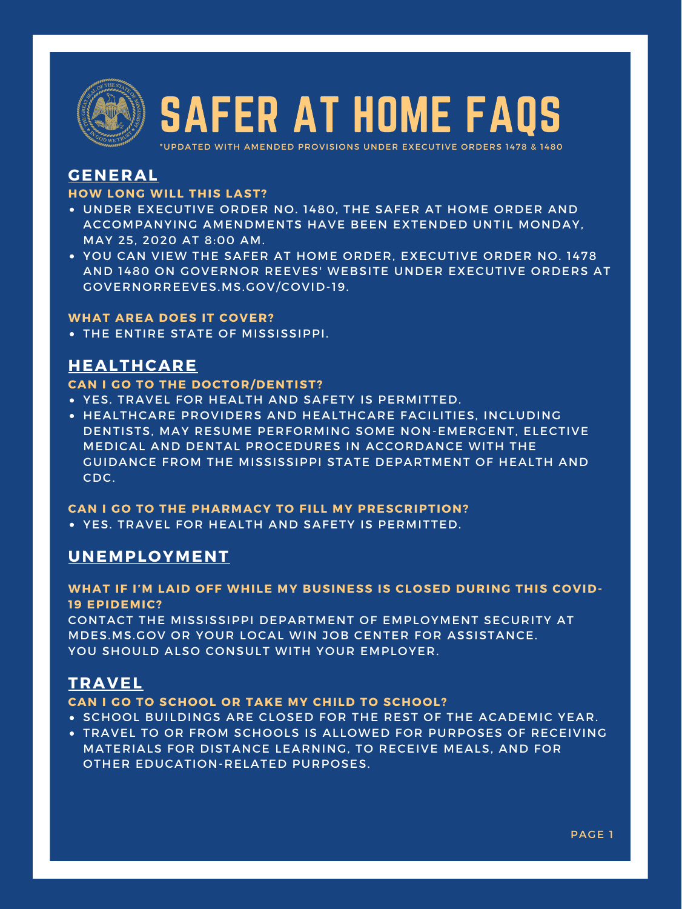- UNDER EXECUTIVE ORDER NO. 1480, THE SAFER AT HOME ORDER AND ACCOMPANYING AMENDMENTS HAVE BEEN EXTENDED UNTIL MONDAY, MAY 25, 2020 AT 8:00 AM.
- YOU CAN VIEW THE SAFER AT HOME ORDER, EXECUTIVE ORDER NO. 1478 AND 1480 ON GOVERNOR REEVES' WEBSITE UNDER EXECUTIVE ORDERS AT GOVERNORREEVES.MS.GOV/COVID-19.

- YES. TRAVEL FOR HEALTH AND SAFETY IS PERMITTED.
- HEALTHCARE PROVIDERS AND HEALTHCARE FACILITIES, INCLUDING DENTISTS, MAY RESUME PERFORMING SOME NON-EMERGENT, ELECTIVE MEDICAL AND DENTAL PROCEDURES IN ACCORDANCE WITH THE GUIDANCE FROM THE MISSISSIPPI STATE DEPARTMENT OF HEALTH AND

MDES.MS.GOV OR YOUR LOCAL WIN JOB CENTER FOR ASSISTANCE. YOU SHOULD ALSO CONSULT WITH YOUR EMPLOYER.

CDC.

- SCHOOL BUILDINGS ARE CLOSED FOR THE REST OF THE ACADEMIC YEAR.
- TRAVEL TO OR FROM SCHOOLS IS ALLOWED FOR PURPOSES OF RECEIVING MATERIALS FOR DISTANCE LEARNING, TO RECEIVE MEALS, AND FOR OTHER EDUCATION-RELATED PURPOSES.

YES. TRAVEL FOR HEALTH AND SAFETY IS PERMITTED. **CAN I GO TO THE PHARMACY TO FILL MY PRESCRIPTION?**

# **GENERAL**

### **HOW LONG WILL THIS LAST?**

#### **WHAT AREA DOES IT COVER?**

**• THE ENTIRE STATE OF MISSISSIPPI.** 

# **HEALTHCARE**

### **CAN I GO TO THE DOCTOR/DENTIST?**

# **UNEMPLOYMENT**

**WHAT IF I'M LAID OFF WHILE MY BUSINESS IS CLOSED DURING THIS COVID-19 EPIDEMIC?** CONTACT THE MISSISSIPPI DEPARTMENT OF EMPLOYMENT SECURITY AT

# **TRAVEL**

**CAN I GO TO SCHOOL OR TAKE MY CHILD TO SCHOOL?**



# SAFER AT HOME FAQS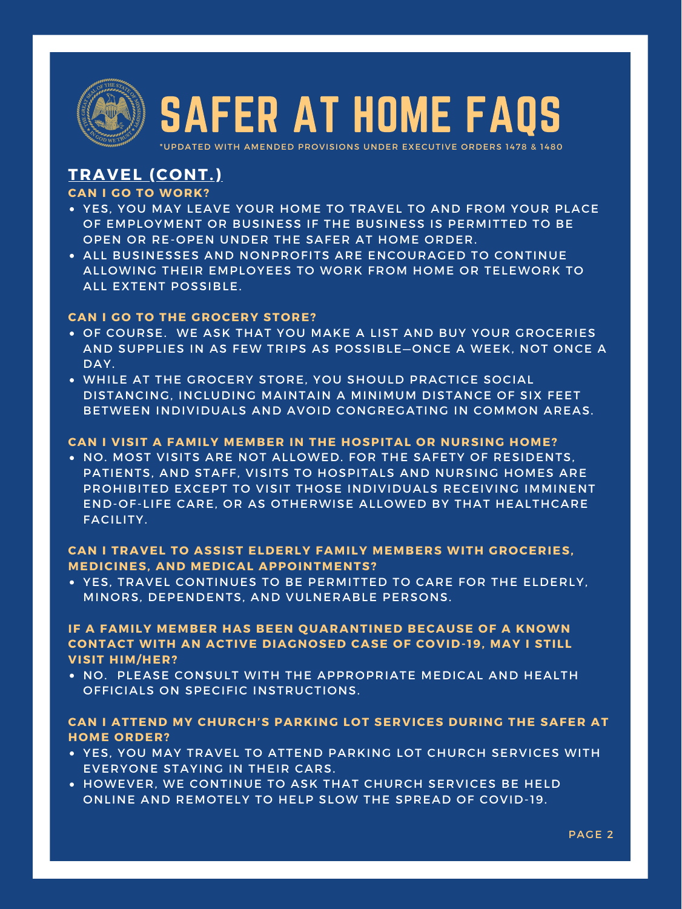

- YES, YOU MAY LEAVE YOUR HOME TO TRAVEL TO AND FROM YOUR PLACE OF EMPLOYMENT OR BUSINESS IF THE BUSINESS IS PERMITTED TO BE OPEN OR RE-OPEN UNDER THE SAFER AT HOME ORDER.
- ALL BUSINESSES AND NONPROFITS ARE ENCOURAGED TO CONTINUE ALLOWING THEIR EMPLOYEES TO WORK FROM HOME OR TELEWORK TO ALL EXTENT POSSIBLE.

. NO. MOST VISITS ARE NOT ALLOWED. FOR THE SAFETY OF RESIDENTS, PATIENTS, AND STAFF, VISITS TO HOSPITALS AND NURSING HOMES ARE PROHIBITED EXCEPT TO VISIT THOSE INDIVIDUALS RECEIVING IMMINENT END-OF-LIFE CARE, OR AS OTHERWISE ALLOWED BY THAT HEALTHCARE FACILITY.

- OF COURSE. WE ASK THAT YOU MAKE A LIST AND BUY YOUR GROCERIES AND SUPPLIES IN AS FEW TRIPS AS POSSIBLE—ONCE A WEEK, NOT ONCE A DAY.
- WHILE AT THE GROCERY STORE, YOU SHOULD PRACTICE SOCIAL DISTANCING, INCLUDING MAINTAIN A MINIMUM DISTANCE OF SIX FEET BETWEEN INDIVIDUALS AND AVOID CONGREGATING IN COMMON AREAS.

YES, TRAVEL CONTINUES TO BE PERMITTED TO CARE FOR THE ELDERLY, MINORS, DEPENDENTS, AND VULNERABLE PERSONS.

NO. PLEASE CONSULT WITH THE APPROPRIATE MEDICAL AND HEALTH OFFICIALS ON SPECIFIC INSTRUCTIONS.

- YES, YOU MAY TRAVEL TO ATTEND PARKING LOT CHURCH SERVICES WITH EVERYONE STAYING IN THEIR CARS.
- HOWEVER, WE CONTINUE TO ASK THAT CHURCH SERVICES BE HELD ONLINE AND REMOTELY TO HELP SLOW THE SPREAD OF COVID-19.

# **TRAVEL (CONT.)**

## **CAN I GO TO WORK?**

## **CAN I GO TO THE GROCERY STORE?**

#### **CAN I VISIT A FAMILY MEMBER IN THE HOSPITAL OR NURSING HOME?**

## **CAN I TRAVEL TO ASSIST ELDERLY FAMILY MEMBERS WITH GROCERIES, MEDICINES, AND MEDICAL APPOINTMENTS?**

## **IF A FAMILY MEMBER HAS BEEN QUARANTINED BECAUSE OF A KNOWN CONTACT WITH AN ACTIVE DIAGNOSED CASE OF COVID- 19, MAY I STILL VISIT HIM/HER?**

### **CAN I ATTEND MY CHURCH'S PARKING LOT SERVICES DURING THE SAFER AT HOME ORDER?**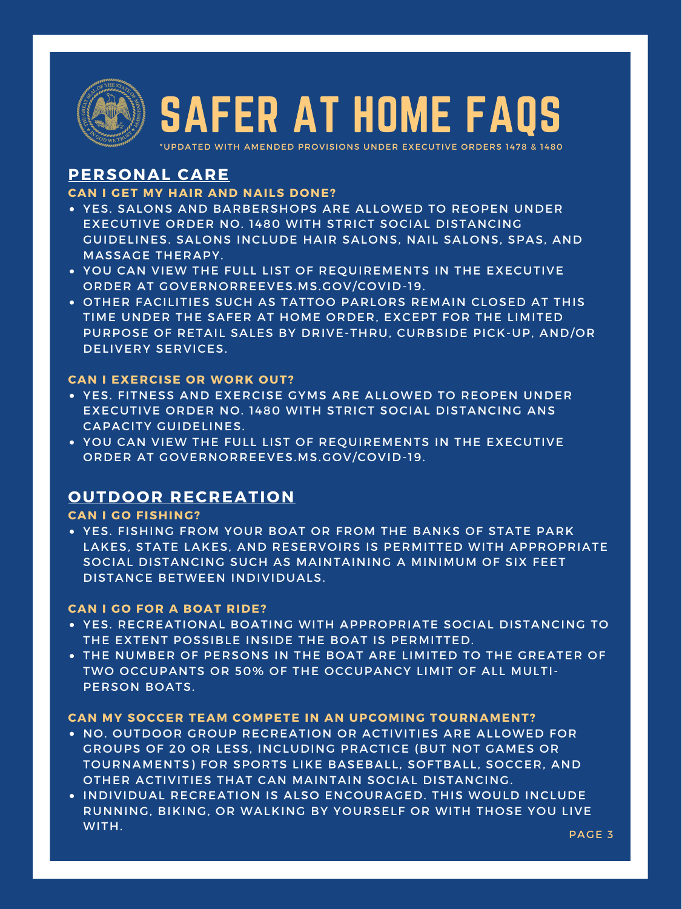

- YES. SALONS AND BARBERSHOPS ARE ALLOWED TO REOPEN UNDER EXECUTIVE ORDER NO. 1480 WITH STRICT SOCIAL DISTANCING GUIDELINES. SALONS INCLUDE HAIR SALONS, NAIL SALONS, SPAS, AND MASSAGE THERAPY.
- YOU CAN VIEW THE FULL LIST OF REQUIREMENTS IN THE EXECUTIVE ORDER AT GOVERNORREEVES.MS.GOV/COVID-19.
- OTHER FACILITIES SUCH AS TATTOO PARLORS REMAIN CLOSED AT THIS TIME UNDER THE SAFER AT HOME ORDER, EXCEPT FOR THE LIMITED PURPOSE OF RETAIL SALES BY DRIVE-THRU, CURBSIDE PICK-UP, AND/OR DELIVERY SERVICES.

- YES. FITNESS AND EXERCISE GYMS ARE ALLOWED TO REOPEN UNDER EXECUTIVE ORDER NO. 1480 WITH STRICT SOCIAL DISTANCING ANS CAPACITY GUIDELINES.
- YOU CAN VIEW THE FULL LIST OF REQUIREMENTS IN THE EXECUTIVE ORDER AT GOVERNORREEVES.MS.GOV/COVID-19.

YES. FISHING FROM YOUR BOAT OR FROM THE BANKS OF STATE PARK LAKES, STATE LAKES, AND RESERVOIRS IS PERMITTED WITH APPROPRIATE SOCIAL DISTANCING SUCH AS MAINTAINING A MINIMUM OF SIX FEET DISTANCE BETWEEN INDIVIDUALS.

- YES. RECREATIONAL BOATING WITH APPROPRIATE SOCIAL DISTANCING TO THE EXTENT POSSIBLE INSIDE THE BOAT IS PERMITTED.
- THE NUMBER OF PERSONS IN THE BOAT ARE LIMITED TO THE GREATER OF TWO OCCUPANTS OR 50% OF THE OCCUPANCY LIMIT OF ALL MULTI-PERSON BOATS.

- NO. OUTDOOR GROUP RECREATION OR ACTIVITIES ARE ALLOWED FOR GROUPS OF 20 OR LESS, INCLUDING PRACTICE (BUT NOT GAMES OR TOURNAMENTS) FOR SPORTS LIKE BASEBALL, SOFTBALL, SOCCER, AND OTHER ACTIVITIES THAT CAN MAINTAIN SOCIAL DISTANCING.
- INDIVIDUAL RECREATION IS ALSO ENCOURAGED. THIS WOULD INCLUDE RUNNING, BIKING, OR WALKING BY YOURSELF OR WITH THOSE YOU LIVE WITH.

PAGE 3

# **PERSONAL CARE**

## **CAN I GET MY HAIR AND NAILS DONE?**

### **CAN I EXERCISE OR WORK OUT?**

# **OUTDOOR RECREATION**

#### **CAN I GO FISHING?**

#### **CAN I GO FOR A BOAT RIDE?**

#### **CAN MY SOCCER TEAM COMPETE IN AN UPCOMING TOURNAMENT?**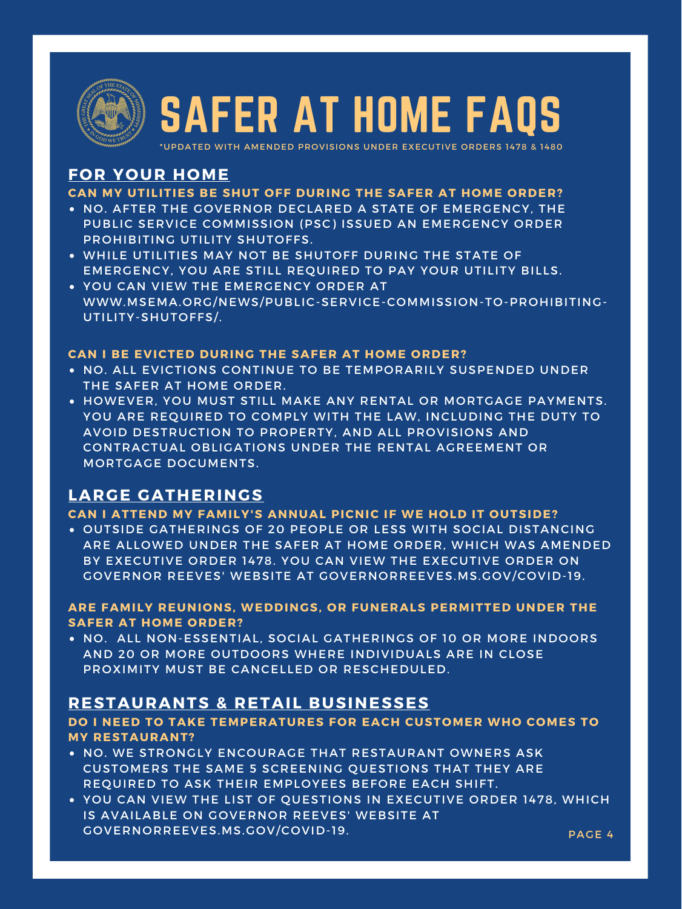

- NO. AFTER THE GOVERNOR DECLARED A STATE OF EMERGENCY, THE PUBLIC SERVICE COMMISSION (PSC) ISSUED AN EMERGENCY ORDER PROHIBITING UTILITY SHUTOFFS.
- WHILE UTILITIES MAY NOT BE SHUTOFF DURING THE STATE OF EMERGENCY, YOU ARE STILL REQUIRED TO PAY YOUR UTILITY BILLS.
- YOU CAN VIEW THE EMERGENCY ORDER AT WWW.MSEMA.ORG/NEWS/PUBLIC-SERVICE-COMMISSION-TO-PROHIBITING-UTILITY-SHUTOFFS/.

- . NO. ALL EVICTIONS CONTINUE TO BE TEMPORARILY SUSPENDED UNDER THE SAFER AT HOME ORDER.
- . HOWEVER, YOU MUST STILL MAKE ANY RENTAL OR MORTGAGE PAYMENTS. YOU ARE REQUIRED TO COMPLY WITH THE LAW, INCLUDING THE DUTY TO AVOID DESTRUCTION TO PROPERTY, AND ALL PROVISIONS AND CONTRACTUAL OBLIGATIONS UNDER THE RENTAL AGREEMENT OR MORTGAGE DOCUMENTS.

. NO. ALL NON-ESSENTIAL, SOCIAL GATHERINGS OF 10 OR MORE INDOORS AND 20 OR MORE OUTDOORS WHERE INDIVIDUALS ARE IN CLOSE PROXIMITY MUST BE CANCELLED OR RESCHEDULED.

- . NO. WE STRONGLY ENCOURAGE THAT RESTAURANT OWNERS ASK CUSTOMERS THE SAME 5 SCREENING QUESTIONS THAT THEY ARE REQUIRED TO ASK THEIR EMPLOYEES BEFORE EACH SHIFT.
- PAGE 4 YOU CAN VIEW THE LIST OF QUESTIONS IN EXECUTIVE ORDER 1478, WHICH IS AVAILABLE ON GOVERNOR REEVES' WEBSITE AT GOVERNORREEVES.MS.GOV/COVID-19.

OUTSIDE GATHERINGS OF 20 PEOPLE OR LESS WITH SOCIAL DISTANCING ARE ALLOWED UNDER THE SAFER AT HOME ORDER, WHICH WAS AMENDED BY EXECUTIVE ORDER 1478. YOU CAN VIEW THE EXECUTIVE ORDER ON GOVERNOR REEVES' WEBSITE AT GOVERNORREEVES.MS.GOV/COVID-19.

# **FOR YOUR HOME**

## **CAN MY UTILITIES BE SHUT OFF DURING THE SAFER AT HOME ORDER?**

### **CAN I BE EVICTED DURING THE SAFER AT HOME ORDER?**

# **LARGE GATHERINGS**

#### **CAN I ATTEND MY FAMILY'S ANNUAL PICNIC IF WE HOLD IT OUTSIDE?**

### **ARE FAMILY REUNIONS, WEDDINGS, OR FUNERALS PERMITTED UNDER THE SAFER AT HOME ORDER?**

# **RESTAURANTS & RETAIL BUSINESSES**

### **DO I NEED TO TAKE TEMPERATURES FOR EACH CUSTOMER WHO COMES TO MY RESTAURANT?**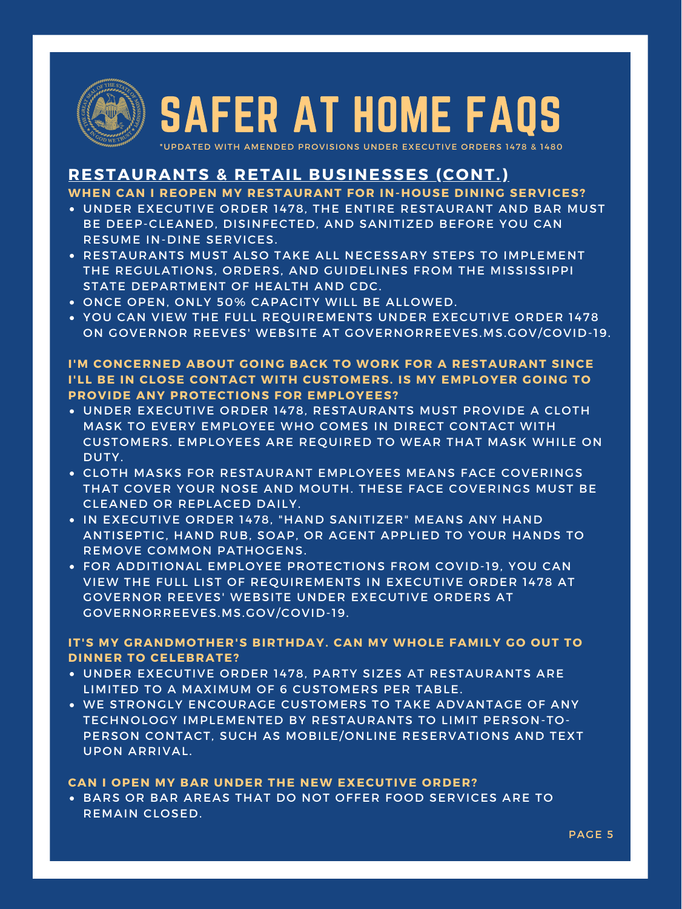

- UNDER EXECUTIVE ORDER 1478, THE ENTIRE RESTAURANT AND BAR MUST BE DEEP-CLEANED, DISINFECTED, AND SANITIZED BEFORE YOU CAN RESUME IN-DINE SERVICES.
- RESTAURANTS MUST ALSO TAKE ALL NECESSARY STEPS TO IMPLEMENT THE REGULATIONS, ORDERS, AND GUIDELINES FROM THE MISSISSIPPI STATE DEPARTMENT OF HEALTH AND CDC.
- ONCE OPEN, ONLY 50% CAPACITY WILL BE ALLOWED.
- YOU CAN VIEW THE FULL REQUIREMENTS UNDER EXECUTIVE ORDER 1478 ON GOVERNOR REEVES' WEBSITE AT GOVERNORREEVES.MS.GOV/COVID-19.

- UNDER EXECUTIVE ORDER 1478, RESTAURANTS MUST PROVIDE A CLOTH MASK TO EVERY EMPLOYEE WHO COMES IN DIRECT CONTACT WITH CUSTOMERS. EMPLOYEES ARE REQUIRED TO WEAR THAT MASK WHILE ON DUTY.
- CLOTH MASKS FOR RESTAURANT EMPLOYEES MEANS FACE COVERINGS
- THAT COVER YOUR NOSE AND MOUTH. THESE FACE COVERINGS MUST BE CLEANED OR REPLACED DAILY.
- IN EXECUTIVE ORDER 1478, "HAND SANITIZER" MEANS ANY HAND ANTISEPTIC, HAND RUB, SOAP, OR AGENT APPLIED TO YOUR HANDS TO REMOVE COMMON PATHOGENS.
- FOR ADDITIONAL EMPLOYEE PROTECTIONS FROM COVID-19, YOU CAN VIEW THE FULL LIST OF REQUIREMENTS IN EXECUTIVE ORDER 1478 AT GOVERNOR REEVES' WEBSITE UNDER EXECUTIVE ORDERS AT GOVERNORREEVES.MS.GOV/COVID-19.

- UNDER EXECUTIVE ORDER 1478, PARTY SIZES AT RESTAURANTS ARE LIMITED TO A MAXIMUM OF 6 CUSTOMERS PER TABLE.
- WE STRONGLY ENCOURAGE CUSTOMERS TO TAKE ADVANTAGE OF ANY TECHNOLOGY IMPLEMENTED BY RESTAURANTS TO LIMIT PERSON-TO-PERSON CONTACT, SUCH AS MOBILE/ONLINE RESERVATIONS AND TEXT UPON ARRIVAL.

BARS OR BAR AREAS THAT DO NOT OFFER FOOD SERVICES ARE TO REMAIN CLOSED.

PAGE 5

# **RESTAURANTS & RETAIL BUSINESSES (CONT.)**

**WHEN CAN I REOPEN MY RESTAURANT FOR IN-HOUSE DINING SERVICES?**

## **I'M CONCERNED ABOUT GOING BACK TO WORK FOR A RESTAURANT SINCE I'LL BE IN CLOSE CONTACT WITH CUSTOMERS. IS MY EMPLOYER GOING TO PROVIDE ANY PROTECTIONS FOR EMPLOYEES?**

### **IT'S MY GRANDMOTHER'S BIRTHDAY. CAN MY WHOLE FAMILY GO OUT TO DINNER TO CELEBRATE?**

#### **CAN I OPEN MY BAR UNDER THE NEW EXECUTIVE ORDER?**